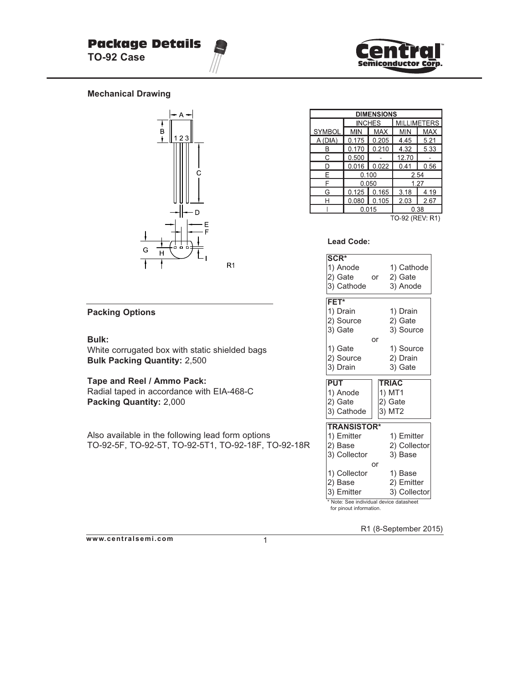

#### **Mechanical Drawing**



#### **Packing Options**

#### **Bulk:**

White corrugated box with static shielded bags **Bulk Packing Quantity:** 2,500

#### **Tape and Reel / Ammo Pack:**

Radial taped in accordance with EIA-468-C **Packing Quantity:** 2,000

Also available in the following lead form options TO-92-5F, TO-92-5T, TO-92-5T1, TO-92-18F, TO-92-18R

| <b>DIMENSIONS</b> |                          |               |                    |      |  |  |  |
|-------------------|--------------------------|---------------|--------------------|------|--|--|--|
|                   |                          | <b>INCHES</b> | <b>MILLIMETERS</b> |      |  |  |  |
| <b>SYMBOL</b>     | <b>MAX</b><br><b>MIN</b> |               | <b>MIN</b>         | MAX  |  |  |  |
| A (DIA)           | 0.175                    | 0.205         | 4.45               | 5.21 |  |  |  |
|                   | 0.170                    | 0.210         | 4.32               | 5.33 |  |  |  |
| С                 | 0.500                    |               | 12.70              |      |  |  |  |
| ח                 | 0.016                    | 0.022         | 0.41               | 0.56 |  |  |  |
| F                 |                          | 0.100         | 2.54               |      |  |  |  |
| F                 |                          | 0.050         | 1.27               |      |  |  |  |
| G                 |                          | $0.125$ 0.165 | 3.18               | 4.19 |  |  |  |
| н                 | 0.080                    | 0.105         | 2.03               | 2.67 |  |  |  |
|                   |                          | 0.015         | 0.38               |      |  |  |  |
|                   |                          |               | TO-92 (REV: R1)    |      |  |  |  |

#### **Lead Code:**

| $\overline{\text{SCR}^*}$  |               |  |  |  |  |  |
|----------------------------|---------------|--|--|--|--|--|
| 1) Anode                   | 1) Cathode    |  |  |  |  |  |
| 2) Gate                    | 2) Gate<br>or |  |  |  |  |  |
| 3) Cathode                 | 3) Anode      |  |  |  |  |  |
|                            |               |  |  |  |  |  |
| FET*                       |               |  |  |  |  |  |
| 1) Drain                   | 1) Drain      |  |  |  |  |  |
| 2) Source                  | 2) Gate       |  |  |  |  |  |
| 3) Gate                    | 3) Source     |  |  |  |  |  |
|                            | or            |  |  |  |  |  |
| 1) Gate                    | 1) Source     |  |  |  |  |  |
| 2) Source                  | 2) Drain      |  |  |  |  |  |
| 3) Drain                   | 3) Gate       |  |  |  |  |  |
| <b>PUT</b><br><b>TRIAC</b> |               |  |  |  |  |  |
| 1) Anode                   | 1) MT1        |  |  |  |  |  |
|                            |               |  |  |  |  |  |
|                            |               |  |  |  |  |  |
| 2) Gate                    | 2) Gate       |  |  |  |  |  |
| 3) Cathode                 | 3) MT2        |  |  |  |  |  |
| <b>TRANSISTOR*</b>         |               |  |  |  |  |  |
| 1) Emitter                 | 1) Emitter    |  |  |  |  |  |
| 2) Base                    | 2) Collector  |  |  |  |  |  |
| 3) Collector               | 3) Base       |  |  |  |  |  |
|                            | or            |  |  |  |  |  |
| 1) Collector               | 1) Base       |  |  |  |  |  |
| 2) Base                    | 2) Emitter    |  |  |  |  |  |
| 3) Emitter                 | 3) Collector  |  |  |  |  |  |

R1 (8-September 2015)

**www.centralsemi.com**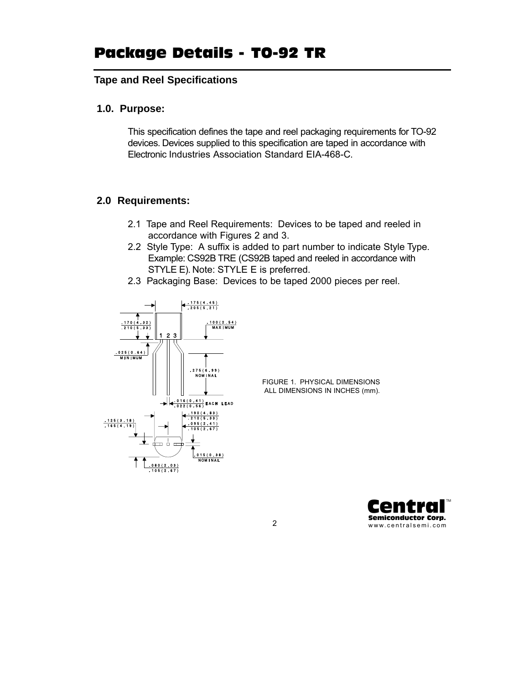## **Tape and Reel Specifications**

## **1.0. Purpose:**

This specification defines the tape and reel packaging requirements for TO-92 devices. Devices supplied to this specification are taped in accordance with Electronic Industries Association Standard EIA-468-C.

## **2.0 Requirements:**

- 2.1 Tape and Reel Requirements: Devices to be taped and reeled in accordance with Figures 2 and 3.
- 2.2 Style Type: A suffix is added to part number to indicate Style Type. Example: CS92B TRE (CS92B taped and reeled in accordance with STYLE E). Note: STYLE E is preferred.
- 2.3 Packaging Base: Devices to be taped 2000 pieces per reel.



FIGURE 1. PHYSICAL DIMENSIONS ALL DIMENSIONS IN INCHES (mm).

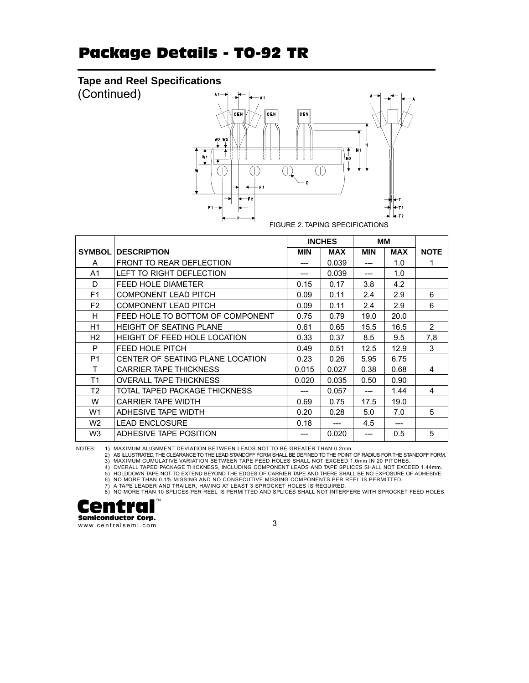# Package Details - TO-92 TR

## **Tape and Reel Specifications**

(Continued)



|                |                                     | <b>INCHES</b> |            | ΜМ         |            |                |
|----------------|-------------------------------------|---------------|------------|------------|------------|----------------|
| SYMBOL         | <b>DESCRIPTION</b>                  | <b>MIN</b>    | <b>MAX</b> | <b>MIN</b> | <b>MAX</b> | <b>NOTE</b>    |
| A              | FRONT TO REAR DEFLECTION            | ---           | 0.039      |            | 1.0        | 1              |
| A1             | LEFT TO RIGHT DEFLECTION            |               | 0.039      |            | 1.0        |                |
| D              | FEED HOLE DIAMETER                  | 0.15          | 0.17       | 3.8        | 4.2        |                |
| F <sub>1</sub> | <b>COMPONENT LEAD PITCH</b>         | 0.09          | 0.11       | 2.4        | 2.9        | 6              |
| F <sub>2</sub> | <b>COMPONENT LEAD PITCH</b>         | 0.09          | 0.11       | 2.4        | 2.9        | 6              |
| H              | FEED HOLE TO BOTTOM OF COMPONENT    | 0.75          | 0.79       | 19.0       | 20.0       |                |
| H1             | <b>HEIGHT OF SEATING PLANE</b>      | 0.61          | 0.65       | 15.5       | 16.5       | $\overline{2}$ |
| H <sub>2</sub> | <b>HEIGHT OF FEED HOLE LOCATION</b> | 0.33          | 0.37       | 8.5        | 9.5        | 7,8            |
| P              | FEED HOLE PITCH                     | 0.49          | 0.51       | 12.5       | 12.9       | 3              |
| P <sub>1</sub> | CENTER OF SEATING PLANE LOCATION    | 0.23          | 0.26       | 5.95       | 6.75       |                |
| т              | <b>CARRIER TAPE THICKNESS</b>       | 0.015         | 0.027      | 0.38       | 0.68       | 4              |
| T1             | <b>OVERALL TAPE THICKNESS</b>       | 0.020         | 0.035      | 0.50       | 0.90       |                |
| Т2             | TOTAL TAPED PACKAGE THICKNESS       |               | 0.057      |            | 1.44       | 4              |
| W              | <b>CARRIER TAPE WIDTH</b>           | 0.69          | 0.75       | 17.5       | 19.0       |                |
| W1             | ADHESIVE TAPE WIDTH                 | 0.20          | 0.28       | 5.0        | 7.0        | 5              |
| W <sub>2</sub> | <b>LEAD ENCLOSURE</b>               | 0.18          | ---        | 4.5        |            |                |
| W <sub>3</sub> | ADHESIVE TAPE POSITION              |               | 0.020      |            | 0.5        | 5              |

NOTES: 1) MAXIMUM ALIGNMENT DEVIATION BETWEEN LEADS NOT TO BE GREATER THAN 0.2mm.

2) AS ILLUSTRATED, THE CLEARANCE TO THE LEAD STANDOFF FORM SHALL BE DEFINED TO THE POINT OF RADIUS FOR THE STANDOFF FORM.<br>3) MAXIMUM CUMULATIVE VARIATION BETWEEN TAPE FEED HOLES SHALL NOT EXCEED 1.0mm IN 20 PITCHES.<br>4) OVE

5) HOLDDOWN TAPE NOT TO EXTEND BEYOND THE EDGES OF CARRIER TAPE AND THERE SHALL BE NO EXPOSURE OF ADHESIVE.

6) NO MORE THAN 0.1% MISSING AND NO CONSECUTIVE MISSING COMPONENTS PER REEL IS PERMITTED.<br>7) A TAPE LEADER AND TRAILER, HAVING AT LEAST 3 SPROCKET HOLES IS REQUIRED.

8) NO MORE THAN 10 SPLICES PER REEL IS PERMITTED AND SPLICES SHALL NOT INTERFERE WITH SPROCKET FEED HOLES.

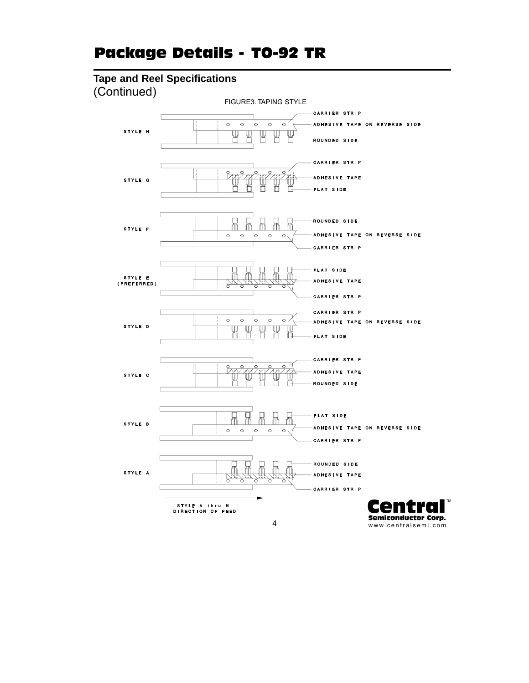# Package Details - TO-92 TR

# **Tape and Reel Specifications**



www.centralsemi.com

TM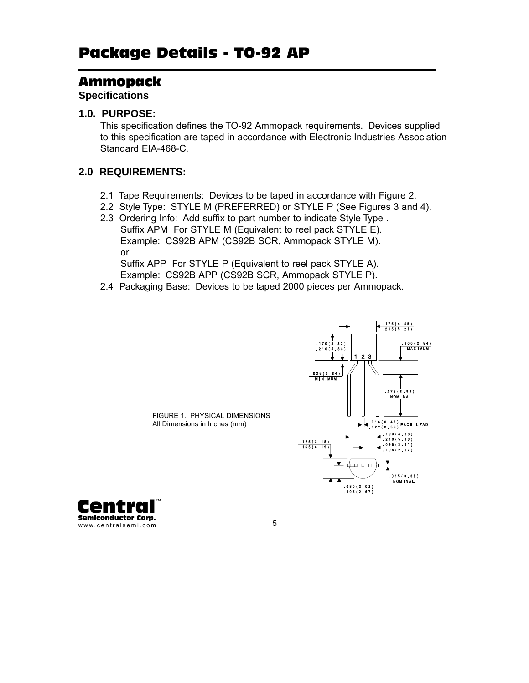## Ammopack

**Specifications** 

## **1.0. PURPOSE:**

This specification defines the TO-92 Ammopack requirements. Devices supplied to this specification are taped in accordance with Electronic Industries Association Standard EIA-468-C.

## **2.0 REQUIREMENTS:**

- 2.1 Tape Requirements: Devices to be taped in accordance with Figure 2.
- 2.2 Style Type: STYLE M (PREFERRED) or STYLE P (See Figures 3 and 4).
- 2.3 Ordering Info: Add suffix to part number to indicate Style Type . Suffix APM For STYLE M (Equivalent to reel pack STYLE E).

Example: CS92B APM (CS92B SCR, Ammopack STYLE M). or

Suffix APP For STYLE P (Equivalent to reel pack STYLE A). Example: CS92B APP (CS92B SCR, Ammopack STYLE P).

2.4 Packaging Base: Devices to be taped 2000 pieces per Ammopack.



FIGURE 1. PHYSICAL DIMENSIONS All Dimensions in Inches (mm)

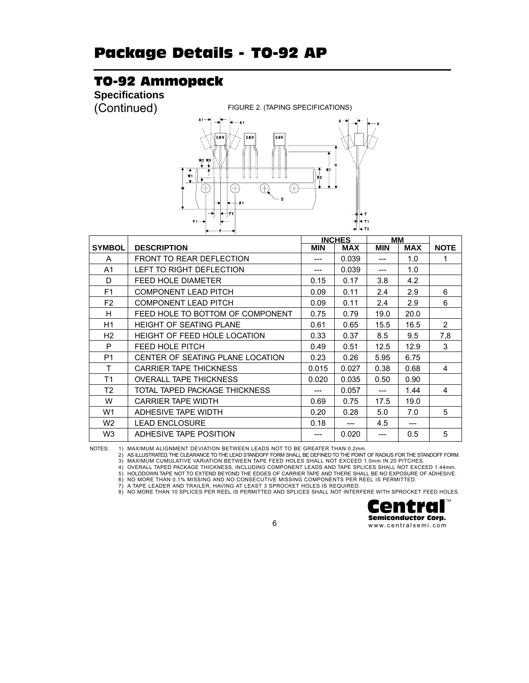# TO-92 Ammopack

**Specifications** 

(Continued) FIGURE 2. (TAPING SPECIFICATIONS)



|                |                                     |            | <b>INCHES</b> |            | ΜМ         |                |
|----------------|-------------------------------------|------------|---------------|------------|------------|----------------|
| <b>SYMBOL</b>  | <b>DESCRIPTION</b>                  | <b>MIN</b> | <b>MAX</b>    | <b>MIN</b> | <b>MAX</b> | <b>NOTE</b>    |
| A              | <b>FRONT TO REAR DEFLECTION</b>     |            | 0.039         |            | 1.0        | 1              |
| A1             | LEFT TO RIGHT DEFLECTION            |            | 0.039         |            | 1.0        |                |
| D              | <b>FEED HOLE DIAMETER</b>           | 0.15       | 0.17          | 3.8        | 4.2        |                |
| F <sub>1</sub> | <b>COMPONENT LEAD PITCH</b>         | 0.09       | 0.11          | 2.4        | 2.9        | 6              |
| F <sub>2</sub> | <b>COMPONENT LEAD PITCH</b>         | 0.09       | 0.11          | 2.4        | 2.9        | 6              |
| H              | FEED HOLE TO BOTTOM OF COMPONENT    | 0.75       | 0.79          | 19.0       | 20.0       |                |
| H1             | <b>HEIGHT OF SEATING PLANE</b>      | 0.61       | 0.65          | 15.5       | 16.5       | $\overline{2}$ |
| H2             | <b>HEIGHT OF FEED HOLE LOCATION</b> | 0.33       | 0.37          | 8.5        | 9.5        | 7,8            |
| P              | FEED HOLE PITCH                     | 0.49       | 0.51          | 12.5       | 12.9       | 3              |
| P <sub>1</sub> | CENTER OF SEATING PLANE LOCATION    | 0.23       | 0.26          | 5.95       | 6.75       |                |
| T              | <b>CARRIER TAPE THICKNESS</b>       | 0.015      | 0.027         | 0.38       | 0.68       | 4              |
| T1             | <b>OVERALL TAPE THICKNESS</b>       | 0.020      | 0.035         | 0.50       | 0.90       |                |
| T2             | TOTAL TAPED PACKAGE THICKNESS       |            | 0.057         |            | 1.44       | 4              |
| W              | <b>CARRIER TAPE WIDTH</b>           | 0.69       | 0.75          | 17.5       | 19.0       |                |
| W1             | ADHESIVE TAPE WIDTH                 | 0.20       | 0.28          | 5.0        | 7.0        | 5              |
| W <sub>2</sub> | <b>LEAD ENCLOSURE</b>               | 0.18       | ---           | 4.5        | $---$      |                |
| W3             | ADHESIVE TAPE POSITION              |            | 0.020         |            | 0.5        | 5              |

NOTES: 1) MAXIMUM ALIGNMENT DEVIATION BETWEEN LEADS NOT TO BE GREATER THAN 0.2mm.<br>2) AS ILLUSTRATED,THE CLEARANCE TO THE LEAD STANDOFF FORM SHALL BE DEFINED TO THE POINT OF RADIUS FOR THE STANDOFF FORM.<br>3) MAXIMUM CUMULATI

5) HOLDDOWN TAPE NOT TO EXTEND BEYOND THE EDGES OF CARRIER TAPE AND THERE SHALL BE NO EXPOSURE OF ADHESIVE.

6) NO MORE THAN 0.1% MISSING AND NO CONSECUTIVE MISSING COMPONENTS PER REEL IS PERMITTED.<br>7) A TAPE LEADER AND TRAILER, HAVING AT LEAST 3 SPROCKET HOLES IS REQUIRED.

8) NO MORE THAN 10 SPLICES PER REEL IS PERMITTED AND SPLICES SHALL NOT INTERFERE WITH SPROCKET FEED HOLES.

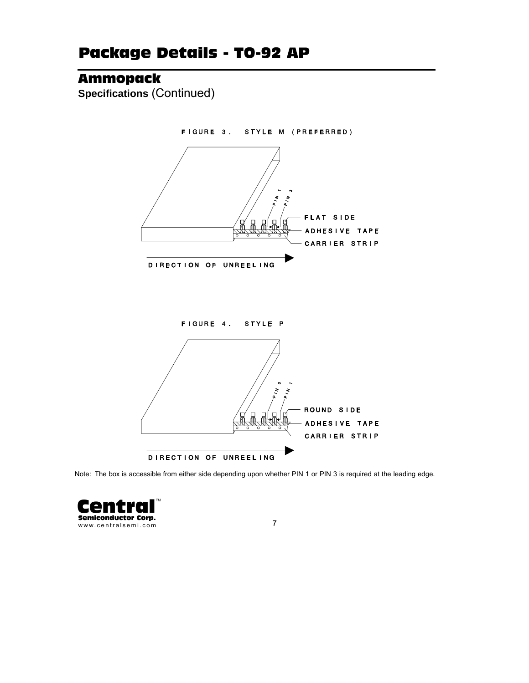# Ammopack

**Specifications** (Continued)



Note: The box is accessible from either side depending upon whether PIN 1 or PIN 3 is required at the leading edge.